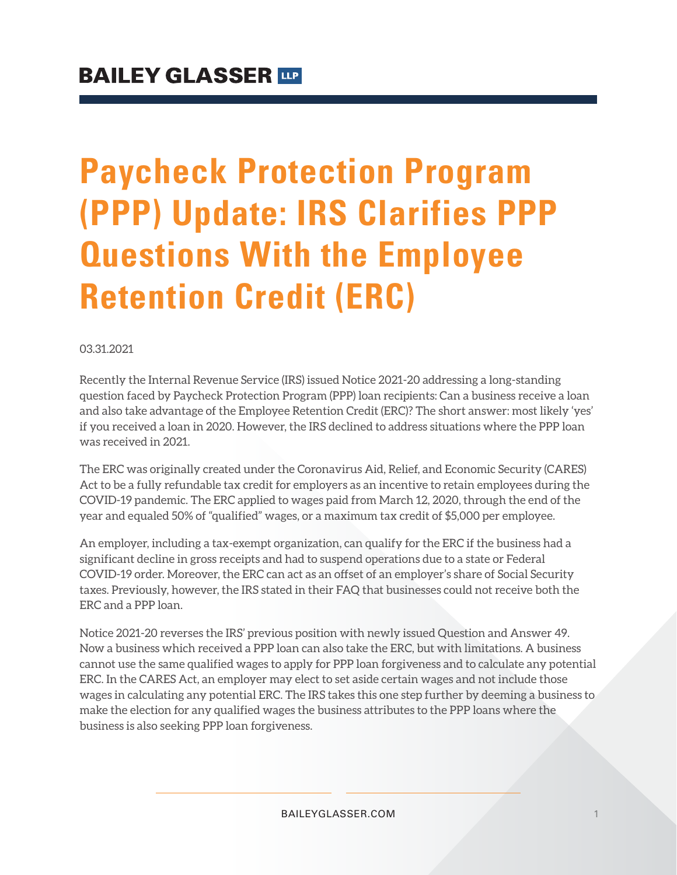# **Paycheck Protection Program (PPP) Update: IRS Clarifies PPP Questions With the Employee Retention Credit (ERC)**

#### 03.31.2021

Recently the Internal Revenue Service (IRS) issued Notice 2021-20 addressing a long-standing question faced by Paycheck Protection Program (PPP) loan recipients: Can a business receive a loan and also take advantage of the Employee Retention Credit (ERC)? The short answer: most likely 'yes' if you received a loan in 2020. However, the IRS declined to address situations where the PPP loan was received in 2021.

The ERC was originally created under the Coronavirus Aid, Relief, and Economic Security (CARES) Act to be a fully refundable tax credit for employers as an incentive to retain employees during the COVID-19 pandemic. The ERC applied to wages paid from March 12, 2020, through the end of the year and equaled 50% of "qualified" wages, or a maximum tax credit of \$5,000 per employee.

An employer, including a tax-exempt organization, can qualify for the ERC if the business had a significant decline in gross receipts and had to suspend operations due to a state or Federal COVID-19 order. Moreover, the ERC can act as an offset of an employer's share of Social Security taxes. Previously, however, the IRS stated in their FAQ that businesses could not receive both the ERC and a PPP loan.

Notice 2021-20 reverses the IRS' previous position with newly issued Question and Answer 49. Now a business which received a PPP loan can also take the ERC, but with limitations. A business cannot use the same qualified wages to apply for PPP loan forgiveness and to calculate any potential ERC. In the CARES Act, an employer may elect to set aside certain wages and not include those wages in calculating any potential ERC. The IRS takes this one step further by deeming a business to make the election for any qualified wages the business attributes to the PPP loans where the business is also seeking PPP loan forgiveness.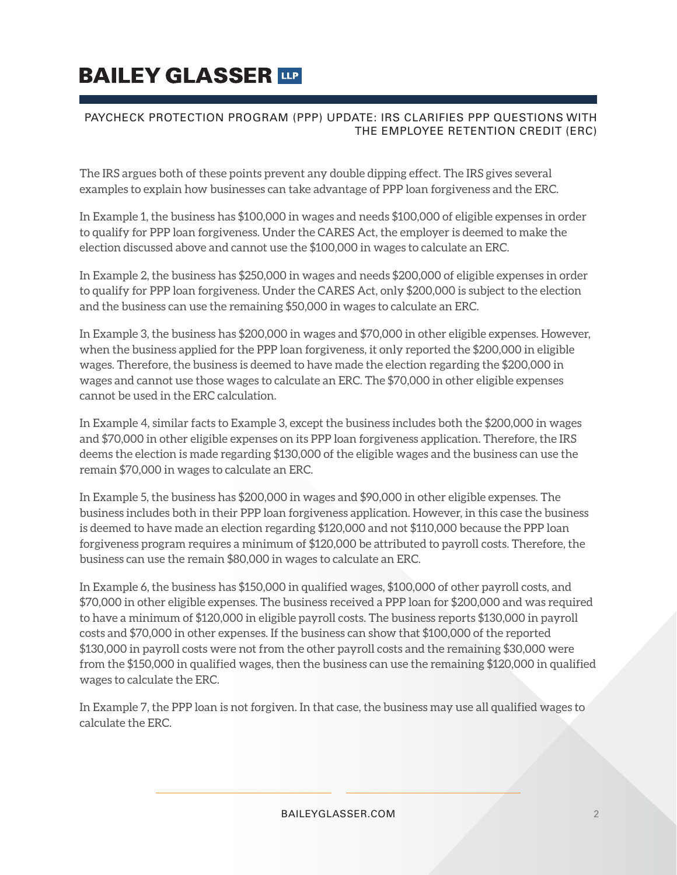# **BAILEY GLASSER TIP**

### PAYCHECK PROTECTION PROGRAM (PPP) UPDATE: IRS CLARIFIES PPP QUESTIONS WITH THE EMPLOYEE RETENTION CREDIT (ERC)

The IRS argues both of these points prevent any double dipping effect. The IRS gives several examples to explain how businesses can take advantage of PPP loan forgiveness and the ERC.

In Example 1, the business has \$100,000 in wages and needs \$100,000 of eligible expenses in order to qualify for PPP loan forgiveness. Under the CARES Act, the employer is deemed to make the election discussed above and cannot use the \$100,000 in wages to calculate an ERC.

In Example 2, the business has \$250,000 in wages and needs \$200,000 of eligible expenses in order to qualify for PPP loan forgiveness. Under the CARES Act, only \$200,000 is subject to the election and the business can use the remaining \$50,000 in wages to calculate an ERC.

In Example 3, the business has \$200,000 in wages and \$70,000 in other eligible expenses. However, when the business applied for the PPP loan forgiveness, it only reported the \$200,000 in eligible wages. Therefore, the business is deemed to have made the election regarding the \$200,000 in wages and cannot use those wages to calculate an ERC. The \$70,000 in other eligible expenses cannot be used in the ERC calculation.

In Example 4, similar facts to Example 3, except the business includes both the \$200,000 in wages and \$70,000 in other eligible expenses on its PPP loan forgiveness application. Therefore, the IRS deems the election is made regarding \$130,000 of the eligible wages and the business can use the remain \$70,000 in wages to calculate an ERC.

In Example 5, the business has \$200,000 in wages and \$90,000 in other eligible expenses. The business includes both in their PPP loan forgiveness application. However, in this case the business is deemed to have made an election regarding \$120,000 and not \$110,000 because the PPP loan forgiveness program requires a minimum of \$120,000 be attributed to payroll costs. Therefore, the business can use the remain \$80,000 in wages to calculate an ERC.

In Example 6, the business has \$150,000 in qualified wages, \$100,000 of other payroll costs, and \$70,000 in other eligible expenses. The business received a PPP loan for \$200,000 and was required to have a minimum of \$120,000 in eligible payroll costs. The business reports \$130,000 in payroll costs and \$70,000 in other expenses. If the business can show that \$100,000 of the reported \$130,000 in payroll costs were not from the other payroll costs and the remaining \$30,000 were from the \$150,000 in qualified wages, then the business can use the remaining \$120,000 in qualified wages to calculate the ERC.

In Example 7, the PPP loan is not forgiven. In that case, the business may use all qualified wages to calculate the ERC.